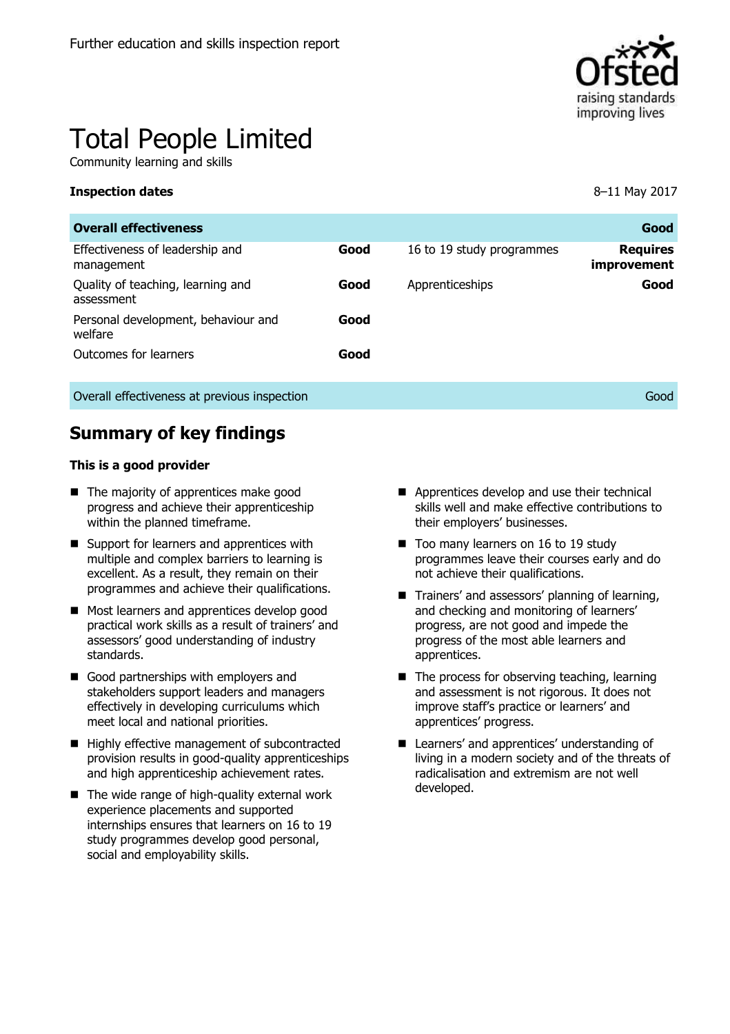

# Total People Limited

Community learning and skills

#### **Inspection dates** 8–11 May 2017

| <b>Overall effectiveness</b>                    |      |                           | Good                           |
|-------------------------------------------------|------|---------------------------|--------------------------------|
| Effectiveness of leadership and<br>management   | Good | 16 to 19 study programmes | <b>Requires</b><br>improvement |
| Quality of teaching, learning and<br>assessment | Good | Apprenticeships           | Good                           |
| Personal development, behaviour and<br>welfare  | Good |                           |                                |
| Outcomes for learners                           | Good |                           |                                |
| Overall effectiveness at previous inspection    |      |                           | Good                           |

## **Summary of key findings**

#### **This is a good provider**

- The majority of apprentices make good progress and achieve their apprenticeship within the planned timeframe.
- Support for learners and apprentices with multiple and complex barriers to learning is excellent. As a result, they remain on their programmes and achieve their qualifications.
- Most learners and apprentices develop good practical work skills as a result of trainers' and assessors' good understanding of industry standards.
- Good partnerships with employers and stakeholders support leaders and managers effectively in developing curriculums which meet local and national priorities.
- Highly effective management of subcontracted provision results in good-quality apprenticeships and high apprenticeship achievement rates.
- $\blacksquare$  The wide range of high-quality external work experience placements and supported internships ensures that learners on 16 to 19 study programmes develop good personal, social and employability skills.
- Apprentices develop and use their technical skills well and make effective contributions to their employers' businesses.
- Too many learners on 16 to 19 study programmes leave their courses early and do not achieve their qualifications.
- Trainers' and assessors' planning of learning, and checking and monitoring of learners' progress, are not good and impede the progress of the most able learners and apprentices.
- $\blacksquare$  The process for observing teaching, learning and assessment is not rigorous. It does not improve staff's practice or learners' and apprentices' progress.
- Learners' and apprentices' understanding of living in a modern society and of the threats of radicalisation and extremism are not well developed.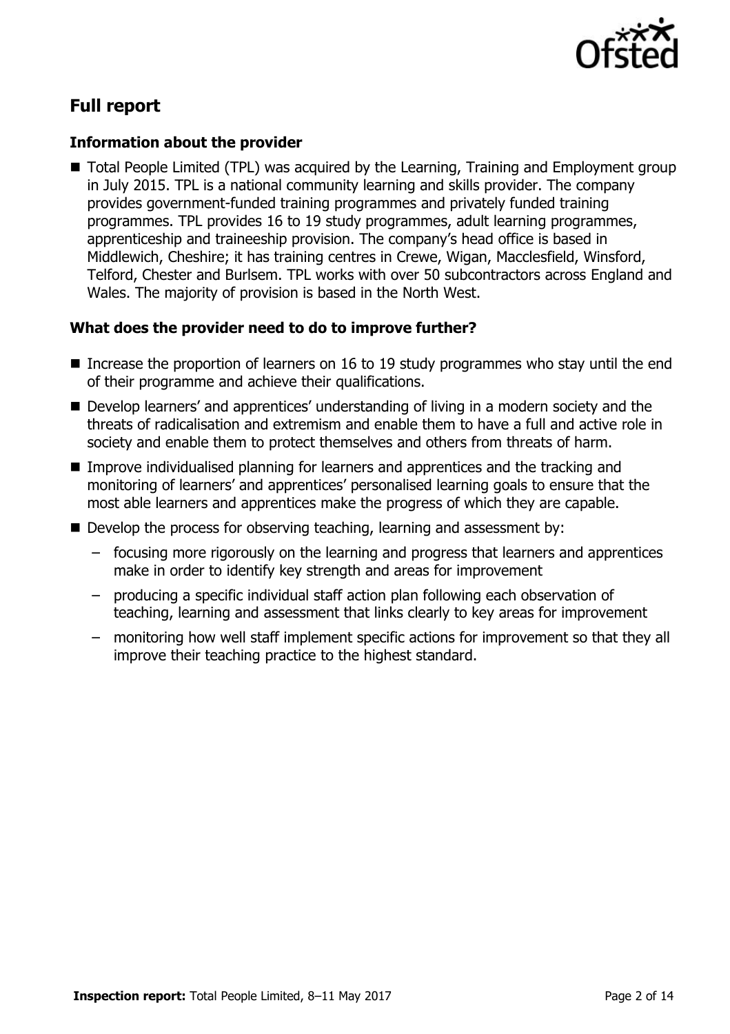

# **Full report**

#### **Information about the provider**

■ Total People Limited (TPL) was acquired by the Learning, Training and Employment group in July 2015. TPL is a national community learning and skills provider. The company provides government-funded training programmes and privately funded training programmes. TPL provides 16 to 19 study programmes, adult learning programmes, apprenticeship and traineeship provision. The company's head office is based in Middlewich, Cheshire; it has training centres in Crewe, Wigan, Macclesfield, Winsford, Telford, Chester and Burlsem. TPL works with over 50 subcontractors across England and Wales. The majority of provision is based in the North West.

### **What does the provider need to do to improve further?**

- Increase the proportion of learners on 16 to 19 study programmes who stay until the end of their programme and achieve their qualifications.
- Develop learners' and apprentices' understanding of living in a modern society and the threats of radicalisation and extremism and enable them to have a full and active role in society and enable them to protect themselves and others from threats of harm.
- Improve individualised planning for learners and apprentices and the tracking and monitoring of learners' and apprentices' personalised learning goals to ensure that the most able learners and apprentices make the progress of which they are capable.
- Develop the process for observing teaching, learning and assessment by:
	- focusing more rigorously on the learning and progress that learners and apprentices make in order to identify key strength and areas for improvement
	- producing a specific individual staff action plan following each observation of teaching, learning and assessment that links clearly to key areas for improvement
	- monitoring how well staff implement specific actions for improvement so that they all improve their teaching practice to the highest standard.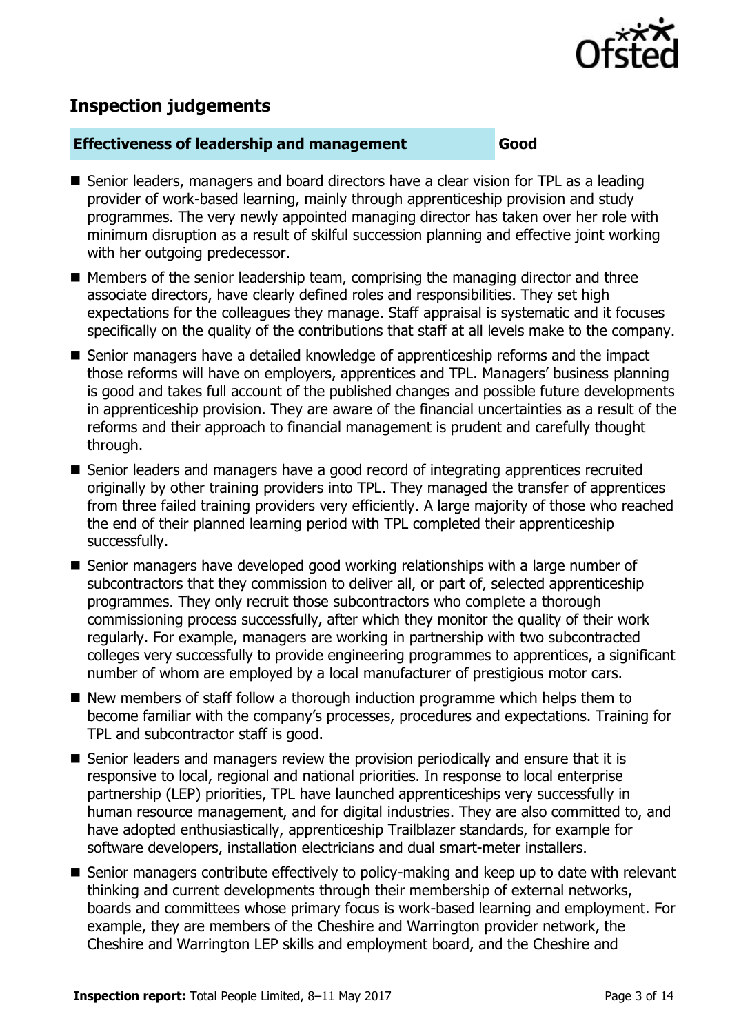

# **Inspection judgements**

#### **Effectiveness of leadership and management Good**

- Senior leaders, managers and board directors have a clear vision for TPL as a leading provider of work-based learning, mainly through apprenticeship provision and study programmes. The very newly appointed managing director has taken over her role with minimum disruption as a result of skilful succession planning and effective joint working with her outgoing predecessor.
- Members of the senior leadership team, comprising the managing director and three associate directors, have clearly defined roles and responsibilities. They set high expectations for the colleagues they manage. Staff appraisal is systematic and it focuses specifically on the quality of the contributions that staff at all levels make to the company.
- Senior managers have a detailed knowledge of apprenticeship reforms and the impact those reforms will have on employers, apprentices and TPL. Managers' business planning is good and takes full account of the published changes and possible future developments in apprenticeship provision. They are aware of the financial uncertainties as a result of the reforms and their approach to financial management is prudent and carefully thought through.
- Senior leaders and managers have a good record of integrating apprentices recruited originally by other training providers into TPL. They managed the transfer of apprentices from three failed training providers very efficiently. A large majority of those who reached the end of their planned learning period with TPL completed their apprenticeship successfully.
- Senior managers have developed good working relationships with a large number of subcontractors that they commission to deliver all, or part of, selected apprenticeship programmes. They only recruit those subcontractors who complete a thorough commissioning process successfully, after which they monitor the quality of their work regularly. For example, managers are working in partnership with two subcontracted colleges very successfully to provide engineering programmes to apprentices, a significant number of whom are employed by a local manufacturer of prestigious motor cars.
- New members of staff follow a thorough induction programme which helps them to become familiar with the company's processes, procedures and expectations. Training for TPL and subcontractor staff is good.
- $\blacksquare$  Senior leaders and managers review the provision periodically and ensure that it is responsive to local, regional and national priorities. In response to local enterprise partnership (LEP) priorities, TPL have launched apprenticeships very successfully in human resource management, and for digital industries. They are also committed to, and have adopted enthusiastically, apprenticeship Trailblazer standards, for example for software developers, installation electricians and dual smart-meter installers.
- Senior managers contribute effectively to policy-making and keep up to date with relevant thinking and current developments through their membership of external networks, boards and committees whose primary focus is work-based learning and employment. For example, they are members of the Cheshire and Warrington provider network, the Cheshire and Warrington LEP skills and employment board, and the Cheshire and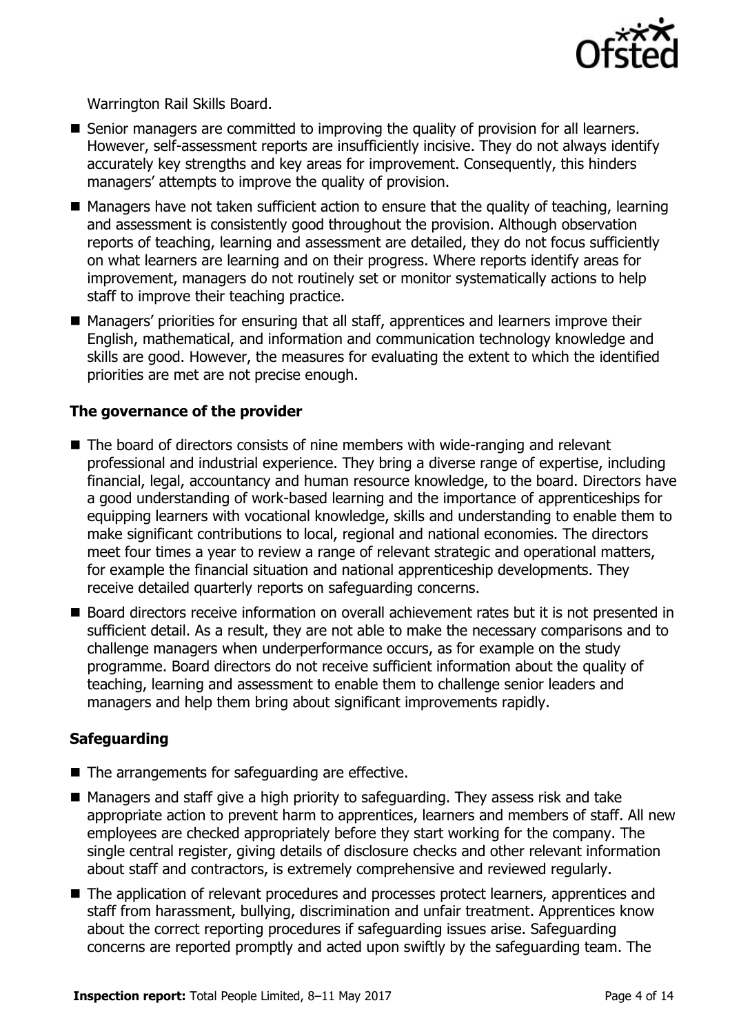

Warrington Rail Skills Board.

- Senior managers are committed to improving the quality of provision for all learners. However, self-assessment reports are insufficiently incisive. They do not always identify accurately key strengths and key areas for improvement. Consequently, this hinders managers' attempts to improve the quality of provision.
- $\blacksquare$  Managers have not taken sufficient action to ensure that the quality of teaching, learning and assessment is consistently good throughout the provision. Although observation reports of teaching, learning and assessment are detailed, they do not focus sufficiently on what learners are learning and on their progress. Where reports identify areas for improvement, managers do not routinely set or monitor systematically actions to help staff to improve their teaching practice.
- Managers' priorities for ensuring that all staff, apprentices and learners improve their English, mathematical, and information and communication technology knowledge and skills are good. However, the measures for evaluating the extent to which the identified priorities are met are not precise enough.

#### **The governance of the provider**

- The board of directors consists of nine members with wide-ranging and relevant professional and industrial experience. They bring a diverse range of expertise, including financial, legal, accountancy and human resource knowledge, to the board. Directors have a good understanding of work-based learning and the importance of apprenticeships for equipping learners with vocational knowledge, skills and understanding to enable them to make significant contributions to local, regional and national economies. The directors meet four times a year to review a range of relevant strategic and operational matters, for example the financial situation and national apprenticeship developments. They receive detailed quarterly reports on safeguarding concerns.
- Board directors receive information on overall achievement rates but it is not presented in sufficient detail. As a result, they are not able to make the necessary comparisons and to challenge managers when underperformance occurs, as for example on the study programme. Board directors do not receive sufficient information about the quality of teaching, learning and assessment to enable them to challenge senior leaders and managers and help them bring about significant improvements rapidly.

#### **Safeguarding**

- $\blacksquare$  The arrangements for safeguarding are effective.
- Managers and staff give a high priority to safeguarding. They assess risk and take appropriate action to prevent harm to apprentices, learners and members of staff. All new employees are checked appropriately before they start working for the company. The single central register, giving details of disclosure checks and other relevant information about staff and contractors, is extremely comprehensive and reviewed regularly.
- The application of relevant procedures and processes protect learners, apprentices and staff from harassment, bullying, discrimination and unfair treatment. Apprentices know about the correct reporting procedures if safeguarding issues arise. Safeguarding concerns are reported promptly and acted upon swiftly by the safeguarding team. The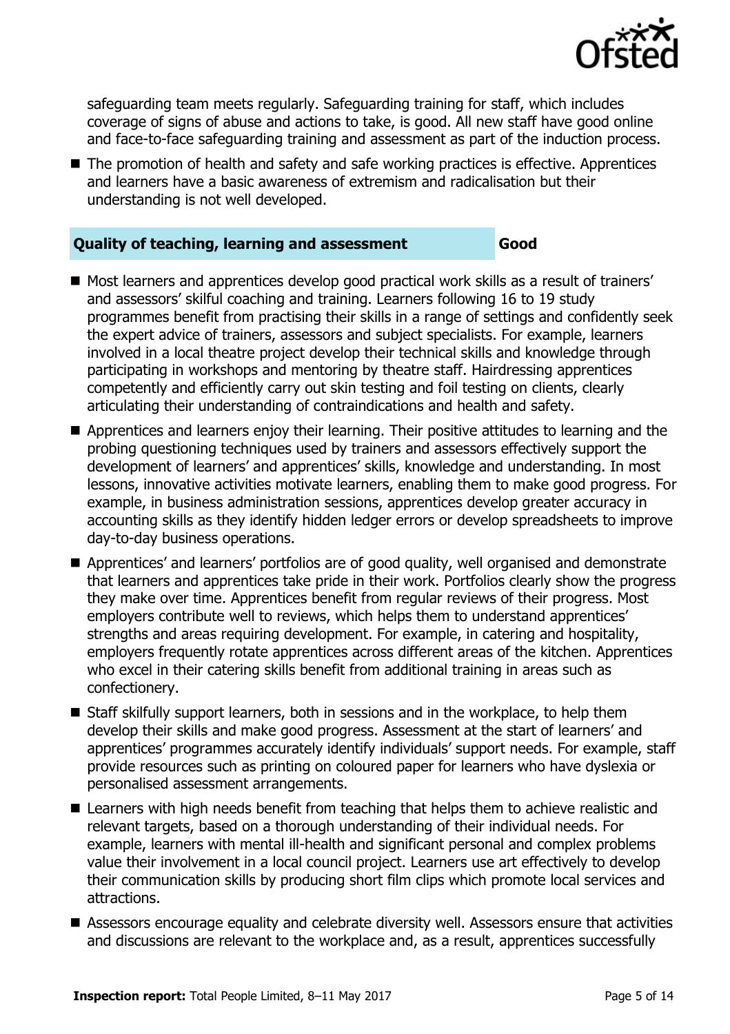

safeguarding team meets regularly. Safeguarding training for staff, which includes coverage of signs of abuse and actions to take, is good. All new staff have good online and face-to-face safeguarding training and assessment as part of the induction process.

■ The promotion of health and safety and safe working practices is effective. Apprentices and learners have a basic awareness of extremism and radicalisation but their understanding is not well developed.

#### **Quality of teaching, learning and assessment Good**

- Most learners and apprentices develop good practical work skills as a result of trainers' and assessors' skilful coaching and training. Learners following 16 to 19 study programmes benefit from practising their skills in a range of settings and confidently seek the expert advice of trainers, assessors and subject specialists. For example, learners involved in a local theatre project develop their technical skills and knowledge through participating in workshops and mentoring by theatre staff. Hairdressing apprentices competently and efficiently carry out skin testing and foil testing on clients, clearly articulating their understanding of contraindications and health and safety.
- **Apprentices and learners enjoy their learning. Their positive attitudes to learning and the** probing questioning techniques used by trainers and assessors effectively support the development of learners' and apprentices' skills, knowledge and understanding. In most lessons, innovative activities motivate learners, enabling them to make good progress. For example, in business administration sessions, apprentices develop greater accuracy in accounting skills as they identify hidden ledger errors or develop spreadsheets to improve day-to-day business operations.
- **Apprentices' and learners' portfolios are of good quality, well organised and demonstrate** that learners and apprentices take pride in their work. Portfolios clearly show the progress they make over time. Apprentices benefit from regular reviews of their progress. Most employers contribute well to reviews, which helps them to understand apprentices' strengths and areas requiring development. For example, in catering and hospitality, employers frequently rotate apprentices across different areas of the kitchen. Apprentices who excel in their catering skills benefit from additional training in areas such as confectionery.
- Staff skilfully support learners, both in sessions and in the workplace, to help them develop their skills and make good progress. Assessment at the start of learners' and apprentices' programmes accurately identify individuals' support needs. For example, staff provide resources such as printing on coloured paper for learners who have dyslexia or personalised assessment arrangements.
- Learners with high needs benefit from teaching that helps them to achieve realistic and relevant targets, based on a thorough understanding of their individual needs. For example, learners with mental ill-health and significant personal and complex problems value their involvement in a local council project. Learners use art effectively to develop their communication skills by producing short film clips which promote local services and attractions.
- Assessors encourage equality and celebrate diversity well. Assessors ensure that activities and discussions are relevant to the workplace and, as a result, apprentices successfully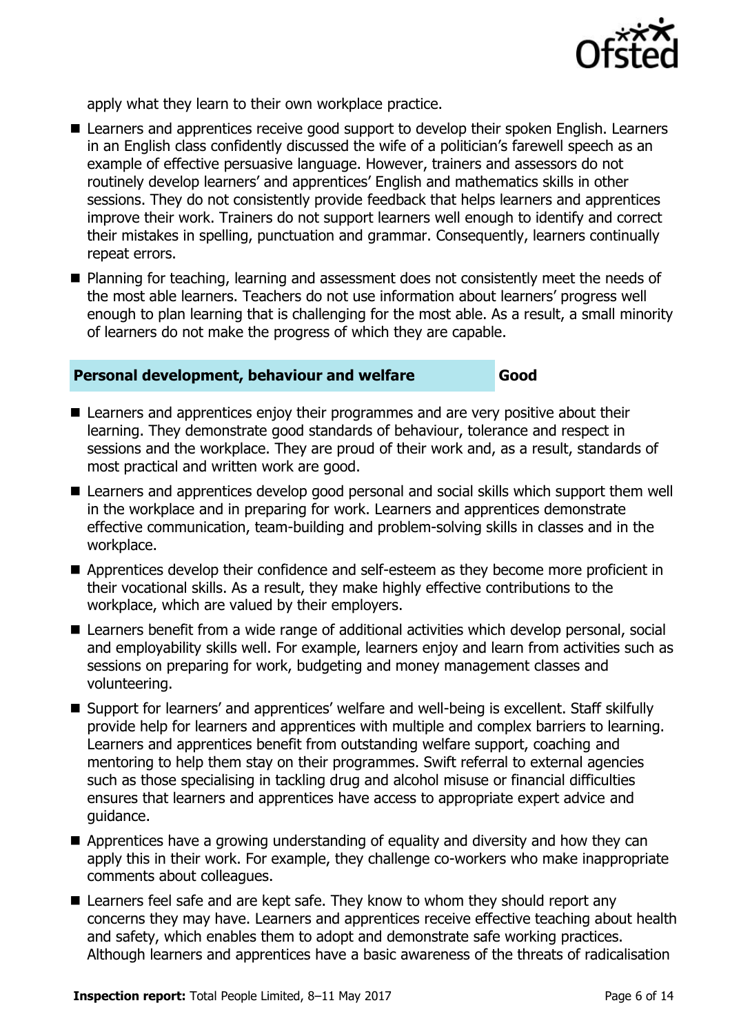

apply what they learn to their own workplace practice.

- Learners and apprentices receive good support to develop their spoken English. Learners in an English class confidently discussed the wife of a politician's farewell speech as an example of effective persuasive language. However, trainers and assessors do not routinely develop learners' and apprentices' English and mathematics skills in other sessions. They do not consistently provide feedback that helps learners and apprentices improve their work. Trainers do not support learners well enough to identify and correct their mistakes in spelling, punctuation and grammar. Consequently, learners continually repeat errors.
- Planning for teaching, learning and assessment does not consistently meet the needs of the most able learners. Teachers do not use information about learners' progress well enough to plan learning that is challenging for the most able. As a result, a small minority of learners do not make the progress of which they are capable.

#### **Personal development, behaviour and welfare Good**

- Learners and apprentices enjoy their programmes and are very positive about their learning. They demonstrate good standards of behaviour, tolerance and respect in sessions and the workplace. They are proud of their work and, as a result, standards of most practical and written work are good.
- Learners and apprentices develop good personal and social skills which support them well in the workplace and in preparing for work. Learners and apprentices demonstrate effective communication, team-building and problem-solving skills in classes and in the workplace.
- Apprentices develop their confidence and self-esteem as they become more proficient in their vocational skills. As a result, they make highly effective contributions to the workplace, which are valued by their employers.
- Learners benefit from a wide range of additional activities which develop personal, social and employability skills well. For example, learners enjoy and learn from activities such as sessions on preparing for work, budgeting and money management classes and volunteering.
- Support for learners' and apprentices' welfare and well-being is excellent. Staff skilfully provide help for learners and apprentices with multiple and complex barriers to learning. Learners and apprentices benefit from outstanding welfare support, coaching and mentoring to help them stay on their programmes. Swift referral to external agencies such as those specialising in tackling drug and alcohol misuse or financial difficulties ensures that learners and apprentices have access to appropriate expert advice and guidance.
- Apprentices have a growing understanding of equality and diversity and how they can apply this in their work. For example, they challenge co-workers who make inappropriate comments about colleagues.
- Learners feel safe and are kept safe. They know to whom they should report any concerns they may have. Learners and apprentices receive effective teaching about health and safety, which enables them to adopt and demonstrate safe working practices. Although learners and apprentices have a basic awareness of the threats of radicalisation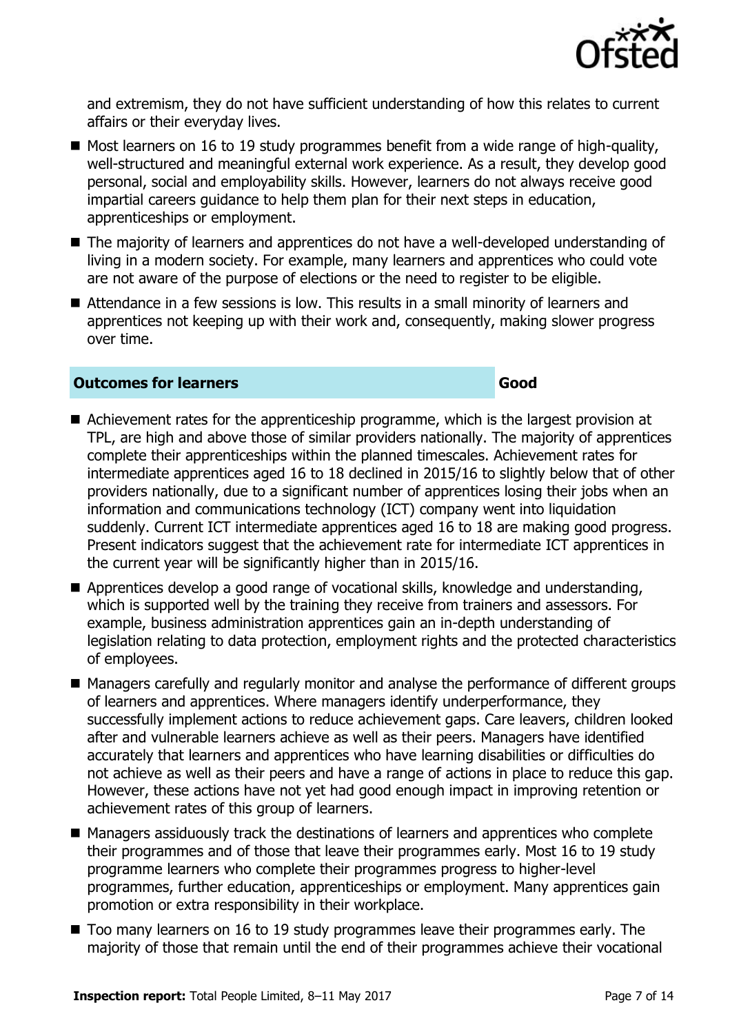

and extremism, they do not have sufficient understanding of how this relates to current affairs or their everyday lives.

- $\blacksquare$  Most learners on 16 to 19 study programmes benefit from a wide range of high-quality, well-structured and meaningful external work experience. As a result, they develop good personal, social and employability skills. However, learners do not always receive good impartial careers guidance to help them plan for their next steps in education, apprenticeships or employment.
- The majority of learners and apprentices do not have a well-developed understanding of living in a modern society. For example, many learners and apprentices who could vote are not aware of the purpose of elections or the need to register to be eligible.
- Attendance in a few sessions is low. This results in a small minority of learners and apprentices not keeping up with their work and, consequently, making slower progress over time.

#### **Outcomes for learners Good**

#### ■ Achievement rates for the apprenticeship programme, which is the largest provision at TPL, are high and above those of similar providers nationally. The majority of apprentices complete their apprenticeships within the planned timescales. Achievement rates for intermediate apprentices aged 16 to 18 declined in 2015/16 to slightly below that of other providers nationally, due to a significant number of apprentices losing their jobs when an information and communications technology (ICT) company went into liquidation suddenly. Current ICT intermediate apprentices aged 16 to 18 are making good progress. Present indicators suggest that the achievement rate for intermediate ICT apprentices in the current year will be significantly higher than in 2015/16.

- Apprentices develop a good range of vocational skills, knowledge and understanding, which is supported well by the training they receive from trainers and assessors. For example, business administration apprentices gain an in-depth understanding of legislation relating to data protection, employment rights and the protected characteristics of employees.
- Managers carefully and regularly monitor and analyse the performance of different groups of learners and apprentices. Where managers identify underperformance, they successfully implement actions to reduce achievement gaps. Care leavers, children looked after and vulnerable learners achieve as well as their peers. Managers have identified accurately that learners and apprentices who have learning disabilities or difficulties do not achieve as well as their peers and have a range of actions in place to reduce this gap. However, these actions have not yet had good enough impact in improving retention or achievement rates of this group of learners.
- Managers assiduously track the destinations of learners and apprentices who complete their programmes and of those that leave their programmes early. Most 16 to 19 study programme learners who complete their programmes progress to higher-level programmes, further education, apprenticeships or employment. Many apprentices gain promotion or extra responsibility in their workplace.
- Too many learners on 16 to 19 study programmes leave their programmes early. The majority of those that remain until the end of their programmes achieve their vocational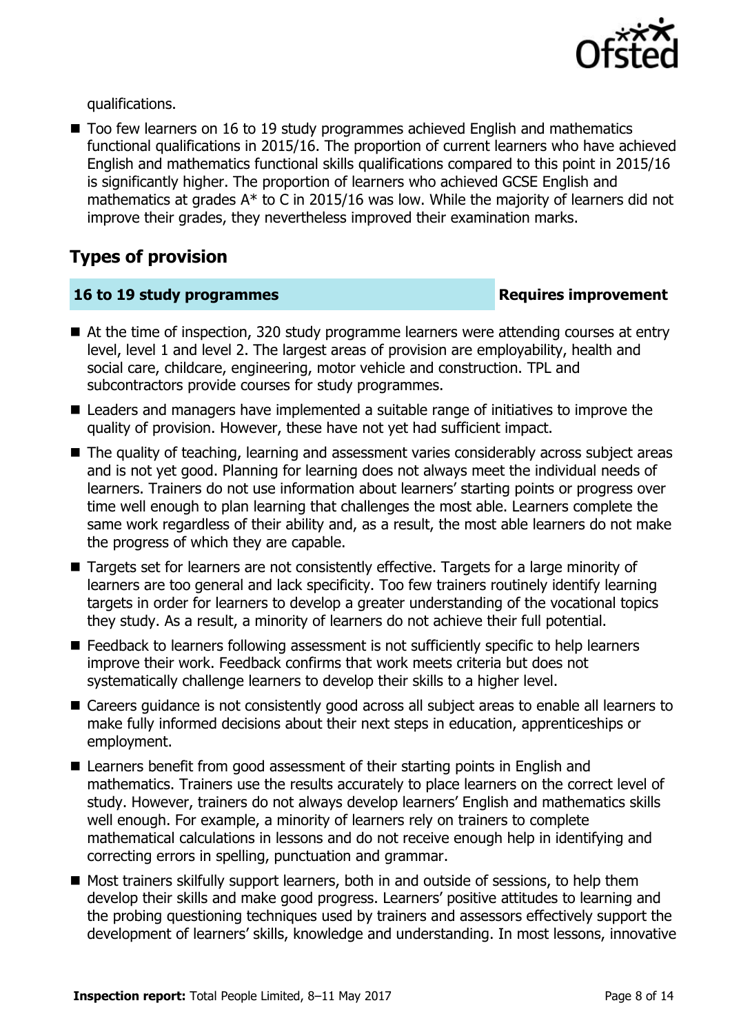

qualifications.

■ Too few learners on 16 to 19 study programmes achieved English and mathematics functional qualifications in 2015/16. The proportion of current learners who have achieved English and mathematics functional skills qualifications compared to this point in 2015/16 is significantly higher. The proportion of learners who achieved GCSE English and mathematics at grades  $A^*$  to C in 2015/16 was low. While the majority of learners did not improve their grades, they nevertheless improved their examination marks.

# **Types of provision**

### **16 to 19 study programmes Requires improvement**

- At the time of inspection, 320 study programme learners were attending courses at entry level, level 1 and level 2. The largest areas of provision are employability, health and social care, childcare, engineering, motor vehicle and construction. TPL and subcontractors provide courses for study programmes.
- Leaders and managers have implemented a suitable range of initiatives to improve the quality of provision. However, these have not yet had sufficient impact.
- The quality of teaching, learning and assessment varies considerably across subject areas and is not yet good. Planning for learning does not always meet the individual needs of learners. Trainers do not use information about learners' starting points or progress over time well enough to plan learning that challenges the most able. Learners complete the same work regardless of their ability and, as a result, the most able learners do not make the progress of which they are capable.
- Targets set for learners are not consistently effective. Targets for a large minority of learners are too general and lack specificity. Too few trainers routinely identify learning targets in order for learners to develop a greater understanding of the vocational topics they study. As a result, a minority of learners do not achieve their full potential.
- Feedback to learners following assessment is not sufficiently specific to help learners improve their work. Feedback confirms that work meets criteria but does not systematically challenge learners to develop their skills to a higher level.
- Careers guidance is not consistently good across all subject areas to enable all learners to make fully informed decisions about their next steps in education, apprenticeships or employment.
- Learners benefit from good assessment of their starting points in English and mathematics. Trainers use the results accurately to place learners on the correct level of study. However, trainers do not always develop learners' English and mathematics skills well enough. For example, a minority of learners rely on trainers to complete mathematical calculations in lessons and do not receive enough help in identifying and correcting errors in spelling, punctuation and grammar.
- Most trainers skilfully support learners, both in and outside of sessions, to help them develop their skills and make good progress. Learners' positive attitudes to learning and the probing questioning techniques used by trainers and assessors effectively support the development of learners' skills, knowledge and understanding. In most lessons, innovative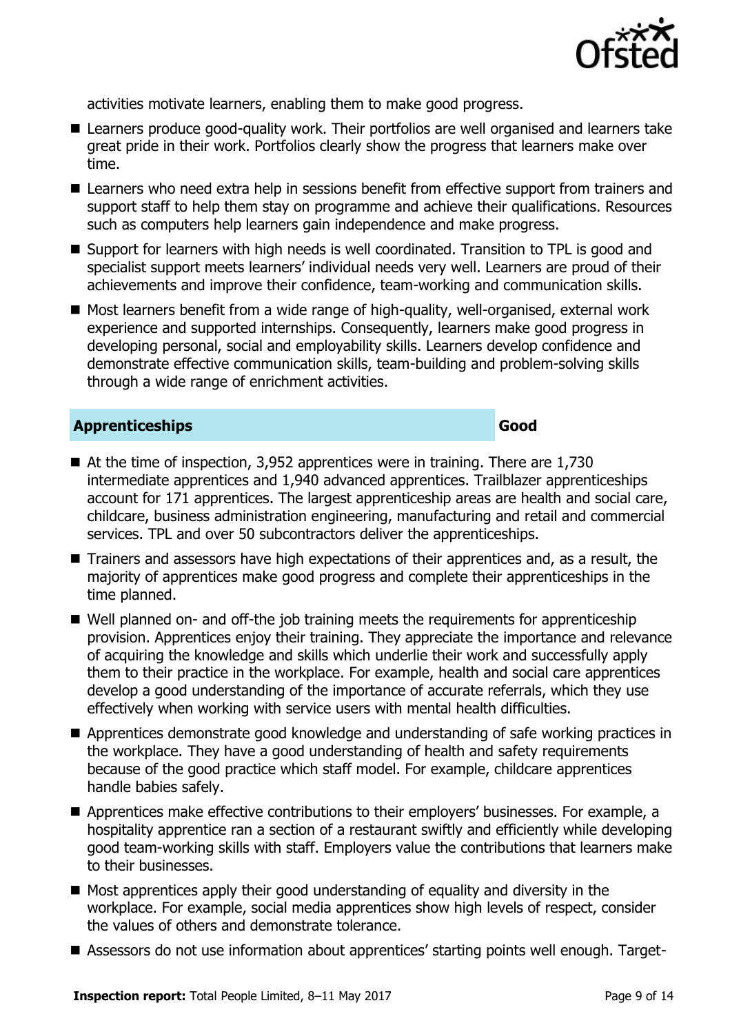

activities motivate learners, enabling them to make good progress.

- Learners produce good-quality work. Their portfolios are well organised and learners take great pride in their work. Portfolios clearly show the progress that learners make over time.
- Learners who need extra help in sessions benefit from effective support from trainers and support staff to help them stay on programme and achieve their qualifications. Resources such as computers help learners gain independence and make progress.
- Support for learners with high needs is well coordinated. Transition to TPL is good and specialist support meets learners' individual needs very well. Learners are proud of their achievements and improve their confidence, team-working and communication skills.
- Most learners benefit from a wide range of high-quality, well-organised, external work experience and supported internships. Consequently, learners make good progress in developing personal, social and employability skills. Learners develop confidence and demonstrate effective communication skills, team-building and problem-solving skills through a wide range of enrichment activities.

#### **Apprenticeships Good**

- $\blacksquare$  At the time of inspection, 3,952 apprentices were in training. There are 1,730 intermediate apprentices and 1,940 advanced apprentices. Trailblazer apprenticeships account for 171 apprentices. The largest apprenticeship areas are health and social care, childcare, business administration engineering, manufacturing and retail and commercial services. TPL and over 50 subcontractors deliver the apprenticeships.
- Trainers and assessors have high expectations of their apprentices and, as a result, the majority of apprentices make good progress and complete their apprenticeships in the time planned.
- Well planned on- and off-the job training meets the requirements for apprenticeship provision. Apprentices enjoy their training. They appreciate the importance and relevance of acquiring the knowledge and skills which underlie their work and successfully apply them to their practice in the workplace. For example, health and social care apprentices develop a good understanding of the importance of accurate referrals, which they use effectively when working with service users with mental health difficulties.
- Apprentices demonstrate good knowledge and understanding of safe working practices in the workplace. They have a good understanding of health and safety requirements because of the good practice which staff model. For example, childcare apprentices handle babies safely.
- Apprentices make effective contributions to their employers' businesses. For example, a hospitality apprentice ran a section of a restaurant swiftly and efficiently while developing good team-working skills with staff. Employers value the contributions that learners make to their businesses.
- $\blacksquare$  Most apprentices apply their good understanding of equality and diversity in the workplace. For example, social media apprentices show high levels of respect, consider the values of others and demonstrate tolerance.
- Assessors do not use information about apprentices' starting points well enough. Target-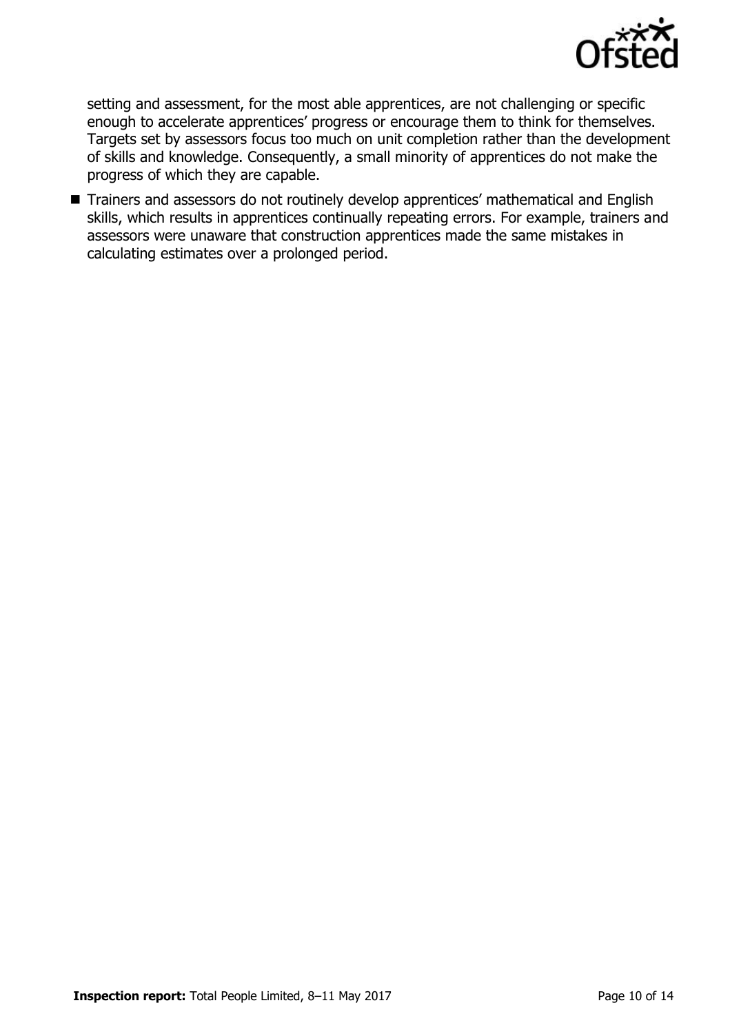

setting and assessment, for the most able apprentices, are not challenging or specific enough to accelerate apprentices' progress or encourage them to think for themselves. Targets set by assessors focus too much on unit completion rather than the development of skills and knowledge. Consequently, a small minority of apprentices do not make the progress of which they are capable.

Trainers and assessors do not routinely develop apprentices' mathematical and English skills, which results in apprentices continually repeating errors. For example, trainers and assessors were unaware that construction apprentices made the same mistakes in calculating estimates over a prolonged period.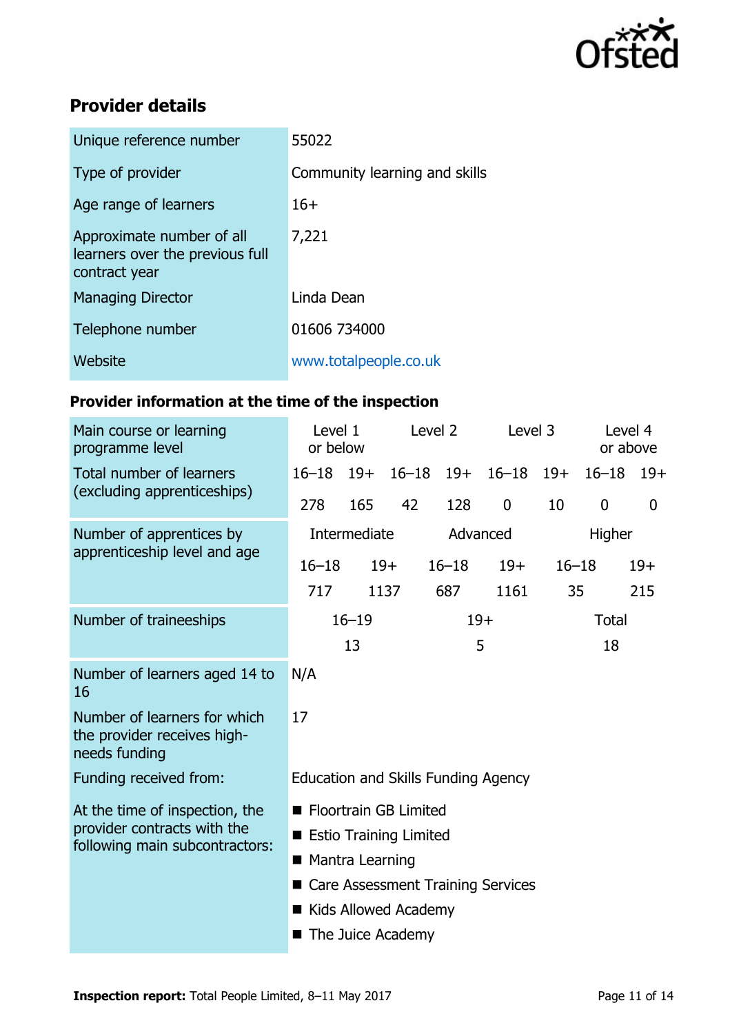

# **Provider details**

| Unique reference number                                                       | 55022                         |
|-------------------------------------------------------------------------------|-------------------------------|
| Type of provider                                                              | Community learning and skills |
| Age range of learners                                                         | $16+$                         |
| Approximate number of all<br>learners over the previous full<br>contract year | 7,221                         |
| <b>Managing Director</b>                                                      | Linda Dean                    |
| Telephone number                                                              | 01606 734000                  |
| Website                                                                       | www.totalpeople.co.uk         |

# **Provider information at the time of the inspection**

| Main course or learning<br>programme level                                                      | Level 2<br>Level 1<br>or below                |       | Level 3 |                    | Level 4<br>or above |              |                  |       |
|-------------------------------------------------------------------------------------------------|-----------------------------------------------|-------|---------|--------------------|---------------------|--------------|------------------|-------|
| Total number of learners<br>(excluding apprenticeships)                                         | $16 - 18$ 19+                                 |       |         | $16 - 18$ 19+      | $16 - 18$           | $19+$        | $16 - 18$        | $19+$ |
|                                                                                                 | 278                                           | 165   | 42      | 128                | $\overline{0}$      | 10           | $\boldsymbol{0}$ | 0     |
| Number of apprentices by<br>apprenticeship level and age                                        | Intermediate                                  |       |         | Advanced<br>Higher |                     |              |                  |       |
|                                                                                                 | $16 - 18$                                     | $19+$ |         | $16 - 18$          | $19+$               | $16 - 18$    |                  | $19+$ |
|                                                                                                 | 717                                           |       | 1137    | 687                | 1161                | 35           |                  | 215   |
| Number of traineeships                                                                          | $16 - 19$                                     |       |         | $19+$              |                     | <b>Total</b> |                  |       |
|                                                                                                 |                                               | 13    |         |                    | 5                   |              | 18               |       |
| Number of learners aged 14 to<br>16                                                             | N/A                                           |       |         |                    |                     |              |                  |       |
| Number of learners for which<br>the provider receives high-<br>needs funding                    | 17                                            |       |         |                    |                     |              |                  |       |
| Funding received from:                                                                          | Education and Skills Funding Agency           |       |         |                    |                     |              |                  |       |
| At the time of inspection, the<br>provider contracts with the<br>following main subcontractors: | ■ Floortrain GB Limited                       |       |         |                    |                     |              |                  |       |
|                                                                                                 | <b>Example Estio Training Limited</b>         |       |         |                    |                     |              |                  |       |
|                                                                                                 | ■ Mantra Learning                             |       |         |                    |                     |              |                  |       |
|                                                                                                 | <b>Care Assessment Training Services</b><br>■ |       |         |                    |                     |              |                  |       |
|                                                                                                 | Kids Allowed Academy                          |       |         |                    |                     |              |                  |       |
|                                                                                                 | The Juice Academy<br>■                        |       |         |                    |                     |              |                  |       |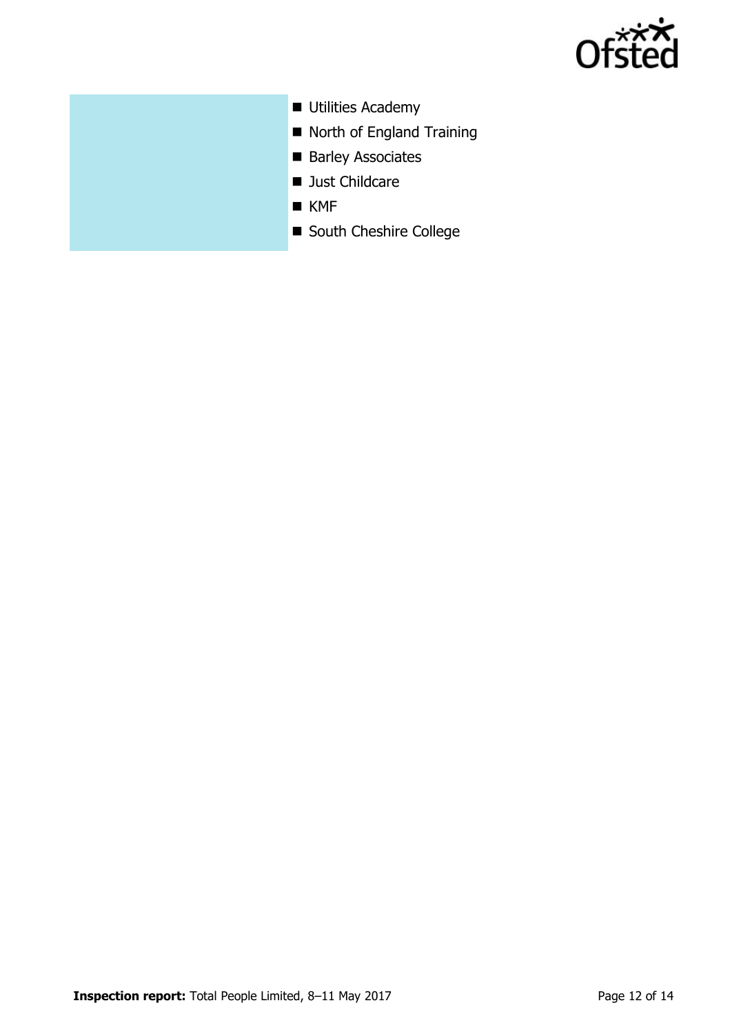

- **Utilities Academy**
- North of England Training
- Barley Associates
- **Just Childcare**
- $KMF$
- South Cheshire College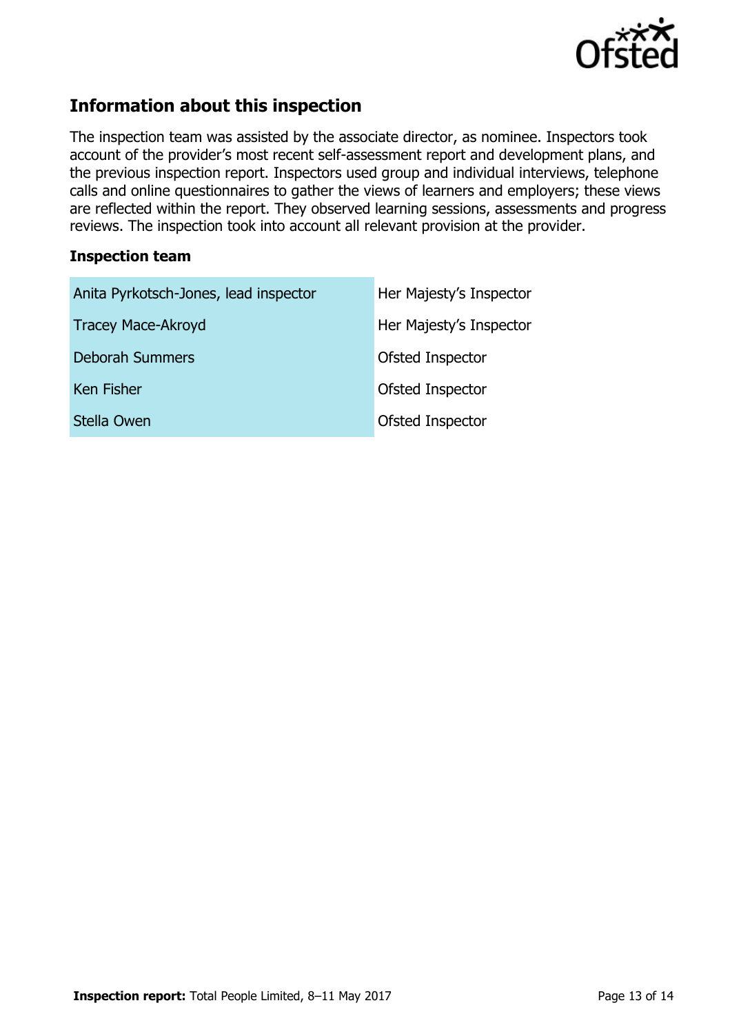

# **Information about this inspection**

The inspection team was assisted by the associate director, as nominee. Inspectors took account of the provider's most recent self-assessment report and development plans, and the previous inspection report. Inspectors used group and individual interviews, telephone calls and online questionnaires to gather the views of learners and employers; these views are reflected within the report. They observed learning sessions, assessments and progress reviews. The inspection took into account all relevant provision at the provider.

#### **Inspection team**

| Anita Pyrkotsch-Jones, lead inspector | Her Majesty's Inspector |  |  |  |
|---------------------------------------|-------------------------|--|--|--|
| <b>Tracey Mace-Akroyd</b>             | Her Majesty's Inspector |  |  |  |
| <b>Deborah Summers</b>                | Ofsted Inspector        |  |  |  |
| <b>Ken Fisher</b>                     | Ofsted Inspector        |  |  |  |
| Stella Owen                           | Ofsted Inspector        |  |  |  |